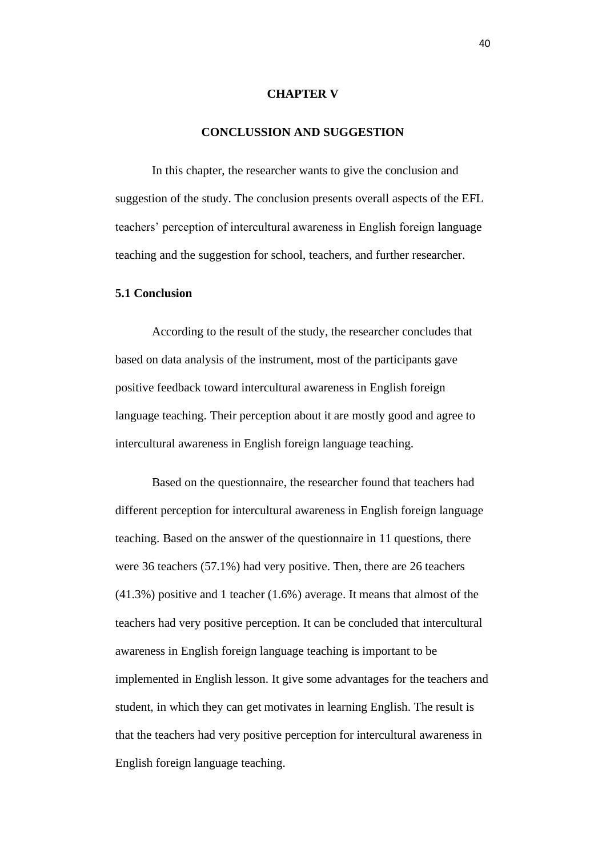## **CHAPTER V**

## **CONCLUSSION AND SUGGESTION**

In this chapter, the researcher wants to give the conclusion and suggestion of the study. The conclusion presents overall aspects of the EFL teachers' perception of intercultural awareness in English foreign language teaching and the suggestion for school, teachers, and further researcher.

## **5.1 Conclusion**

According to the result of the study, the researcher concludes that based on data analysis of the instrument, most of the participants gave positive feedback toward intercultural awareness in English foreign language teaching. Their perception about it are mostly good and agree to intercultural awareness in English foreign language teaching.

Based on the questionnaire, the researcher found that teachers had different perception for intercultural awareness in English foreign language teaching. Based on the answer of the questionnaire in 11 questions, there were 36 teachers (57.1%) had very positive. Then, there are 26 teachers (41.3%) positive and 1 teacher (1.6%) average. It means that almost of the teachers had very positive perception. It can be concluded that intercultural awareness in English foreign language teaching is important to be implemented in English lesson. It give some advantages for the teachers and student, in which they can get motivates in learning English. The result is that the teachers had very positive perception for intercultural awareness in English foreign language teaching.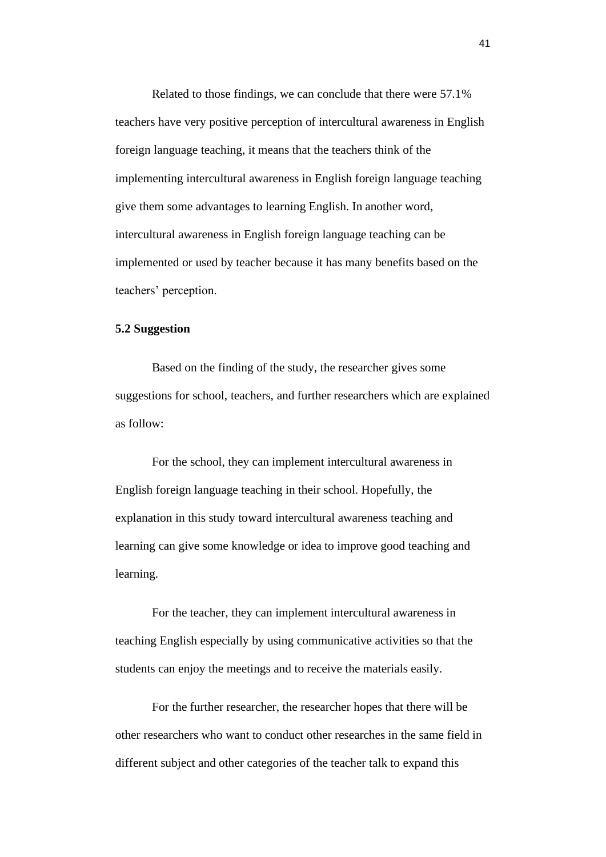Related to those findings, we can conclude that there were 57.1% teachers have very positive perception of intercultural awareness in English foreign language teaching, it means that the teachers think of the implementing intercultural awareness in English foreign language teaching give them some advantages to learning English. In another word, intercultural awareness in English foreign language teaching can be implemented or used by teacher because it has many benefits based on the teachers' perception.

## **5.2 Suggestion**

Based on the finding of the study, the researcher gives some suggestions for school, teachers, and further researchers which are explained as follow:

For the school, they can implement intercultural awareness in English foreign language teaching in their school. Hopefully, the explanation in this study toward intercultural awareness teaching and learning can give some knowledge or idea to improve good teaching and learning.

For the teacher, they can implement intercultural awareness in teaching English especially by using communicative activities so that the students can enjoy the meetings and to receive the materials easily.

For the further researcher, the researcher hopes that there will be other researchers who want to conduct other researches in the same field in different subject and other categories of the teacher talk to expand this